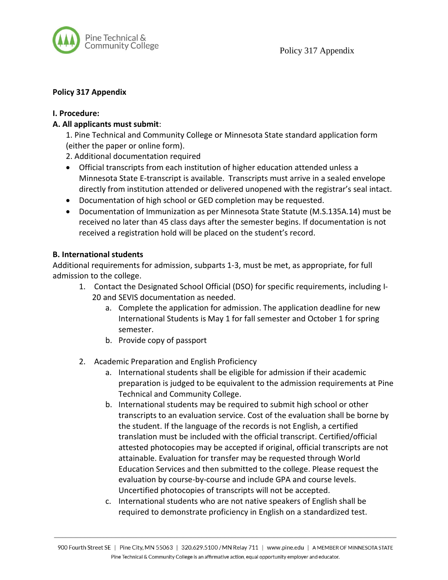

## **Policy 317 Appendix**

### **I. Procedure:**

# **A. All applicants must submit**:

1. Pine Technical and Community College or Minnesota State standard application form (either the paper or online form).

2. Additional documentation required

- Official transcripts from each institution of higher education attended unless a Minnesota State E-transcript is available. Transcripts must arrive in a sealed envelope directly from institution attended or delivered unopened with the registrar's seal intact.
- Documentation of high school or GED completion may be requested.
- Documentation of Immunization as per Minnesota State Statute (M.S.135A.14) must be received no later than 45 class days after the semester begins. If documentation is not received a registration hold will be placed on the student's record.

### **B. International students**

Additional requirements for admission, subparts 1-3, must be met, as appropriate, for full admission to the college.

- 1. Contact the Designated School Official (DSO) for specific requirements, including I-20 and SEVIS documentation as needed.
	- a. Complete the application for admission. The application deadline for new International Students is May 1 for fall semester and October 1 for spring semester.
	- b. Provide copy of passport
- 2. Academic Preparation and English Proficiency
	- a. International students shall be eligible for admission if their academic preparation is judged to be equivalent to the admission requirements at Pine Technical and Community College.
	- b. International students may be required to submit high school or other transcripts to an evaluation service. Cost of the evaluation shall be borne by the student. If the language of the records is not English, a certified translation must be included with the official transcript. Certified/official attested photocopies may be accepted if original, official transcripts are not attainable. Evaluation for transfer may be requested through World Education Services and then submitted to the college. Please request the evaluation by course-by-course and include GPA and course levels. Uncertified photocopies of transcripts will not be accepted.
	- c. International students who are not native speakers of English shall be required to demonstrate proficiency in English on a standardized test.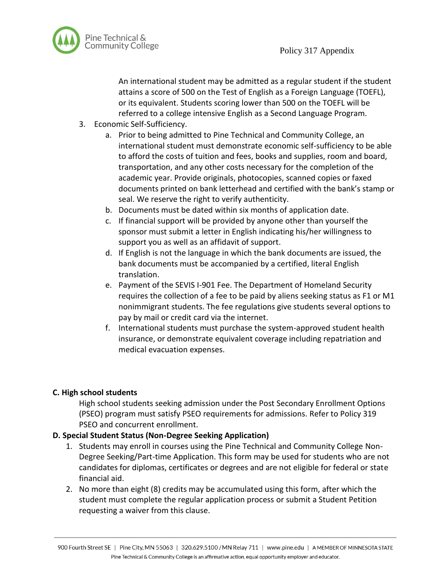

An international student may be admitted as a regular student if the student attains a score of 500 on the Test of English as a Foreign Language (TOEFL), or its equivalent. Students scoring lower than 500 on the TOEFL will be referred to a college intensive English as a Second Language Program.

- 3. Economic Self-Sufficiency.
	- a. Prior to being admitted to Pine Technical and Community College, an international student must demonstrate economic self-sufficiency to be able to afford the costs of tuition and fees, books and supplies, room and board, transportation, and any other costs necessary for the completion of the academic year. Provide originals, photocopies, scanned copies or faxed documents printed on bank letterhead and certified with the bank's stamp or seal. We reserve the right to verify authenticity.
	- b. Documents must be dated within six months of application date.
	- c. If financial support will be provided by anyone other than yourself the sponsor must submit a letter in English indicating his/her willingness to support you as well as an affidavit of support.
	- d. If English is not the language in which the bank documents are issued, the bank documents must be accompanied by a certified, literal English translation.
	- e. Payment of the SEVIS I-901 Fee. The Department of Homeland Security requires the collection of a fee to be paid by aliens seeking status as F1 or M1 nonimmigrant students. The fee regulations give students several options to pay by mail or credit card via the internet.
	- f. International students must purchase the system-approved student health insurance, or demonstrate equivalent coverage including repatriation and medical evacuation expenses.

### **C. High school students**

High school students seeking admission under the Post Secondary Enrollment Options (PSEO) program must satisfy PSEO requirements for admissions. Refer to Policy 319 PSEO and concurrent enrollment.

### **D. Special Student Status (Non-Degree Seeking Application)**

- 1. Students may enroll in courses using the Pine Technical and Community College Non-Degree Seeking/Part-time Application. This form may be used for students who are not candidates for diplomas, certificates or degrees and are not eligible for federal or state financial aid.
- 2. No more than eight (8) credits may be accumulated using this form, after which the student must complete the regular application process or submit a Student Petition requesting a waiver from this clause.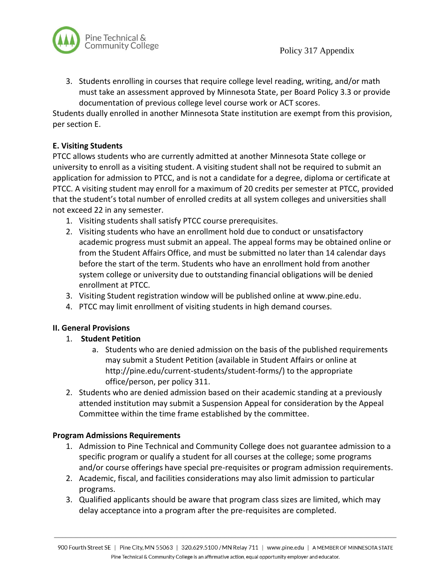

3. Students enrolling in courses that require college level reading, writing, and/or math must take an assessment approved by Minnesota State, per Board Policy 3.3 or provide documentation of previous college level course work or ACT scores.

Students dually enrolled in another Minnesota State institution are exempt from this provision, per section E.

# **E. Visiting Students**

PTCC allows students who are currently admitted at another Minnesota State college or university to enroll as a visiting student. A visiting student shall not be required to submit an application for admission to PTCC, and is not a candidate for a degree, diploma or certificate at PTCC. A visiting student may enroll for a maximum of 20 credits per semester at PTCC, provided that the student's total number of enrolled credits at all system colleges and universities shall not exceed 22 in any semester.

- 1. Visiting students shall satisfy PTCC course prerequisites.
- 2. Visiting students who have an enrollment hold due to conduct or unsatisfactory academic progress must submit an appeal. The appeal forms may be obtained online or from the Student Affairs Office, and must be submitted no later than 14 calendar days before the start of the term. Students who have an enrollment hold from another system college or university due to outstanding financial obligations will be denied enrollment at PTCC.
- 3. Visiting Student registration window will be published online at www.pine.edu.
- 4. PTCC may limit enrollment of visiting students in high demand courses.

# **II. General Provisions**

- 1. **Student Petition**
	- a. Students who are denied admission on the basis of the published requirements may submit a Student Petition (available in Student Affairs or online at http://pine.edu/current-students/student-forms/) to the appropriate office/person, per policy 311.
- 2. Students who are denied admission based on their academic standing at a previously attended institution may submit a Suspension Appeal for consideration by the Appeal Committee within the time frame established by the committee.

# **Program Admissions Requirements**

- 1. Admission to Pine Technical and Community College does not guarantee admission to a specific program or qualify a student for all courses at the college; some programs and/or course offerings have special pre-requisites or program admission requirements.
- 2. Academic, fiscal, and facilities considerations may also limit admission to particular programs.
- 3. Qualified applicants should be aware that program class sizes are limited, which may delay acceptance into a program after the pre-requisites are completed.